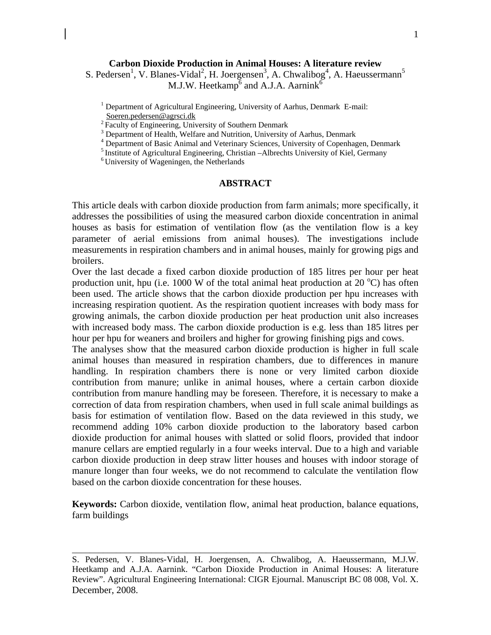### **Carbon Dioxide Production in Animal Houses: A literature review**

S. Pedersen<sup>1</sup>, V. Blanes-Vidal<sup>2</sup>, H. Joergensen<sup>3</sup>, A. Chwalibog<sup>4</sup>, A. Haeussermann<sup>5</sup> M.J.W. Heetkamp $\overline{6}$  and A.J.A. Aarnink $\overline{6}$ 

<sup>1</sup> Department of Agricultural Engineering, University of Aarhus, Denmark E-mail: Soeren.pedersen@agrsci.dk<br><sup>2</sup> Faculty of Engineering, University of Southern Denmark

<sup>3</sup> Department of Health, Welfare and Nutrition, University of Aarhus, Denmark<br><sup>4</sup> Department of Basic Animal and Veterinary Sciences, University of Copenhagen, Denmark<br><sup>5</sup> Institute of Agricultural Engineering, Christian

#### **ABSTRACT**

This article deals with carbon dioxide production from farm animals; more specifically, it addresses the possibilities of using the measured carbon dioxide concentration in animal houses as basis for estimation of ventilation flow (as the ventilation flow is a key parameter of aerial emissions from animal houses). The investigations include measurements in respiration chambers and in animal houses, mainly for growing pigs and broilers.

Over the last decade a fixed carbon dioxide production of 185 litres per hour per heat production unit, hpu (i.e. 1000 W of the total animal heat production at 20  $^{\circ}$ C) has often been used. The article shows that the carbon dioxide production per hpu increases with increasing respiration quotient. As the respiration quotient increases with body mass for growing animals, the carbon dioxide production per heat production unit also increases with increased body mass. The carbon dioxide production is e.g. less than 185 litres per hour per hpu for weaners and broilers and higher for growing finishing pigs and cows.

The analyses show that the measured carbon dioxide production is higher in full scale animal houses than measured in respiration chambers, due to differences in manure handling. In respiration chambers there is none or very limited carbon dioxide contribution from manure; unlike in animal houses, where a certain carbon dioxide contribution from manure handling may be foreseen. Therefore, it is necessary to make a correction of data from respiration chambers, when used in full scale animal buildings as basis for estimation of ventilation flow. Based on the data reviewed in this study, we recommend adding 10% carbon dioxide production to the laboratory based carbon dioxide production for animal houses with slatted or solid floors, provided that indoor manure cellars are emptied regularly in a four weeks interval. Due to a high and variable carbon dioxide production in deep straw litter houses and houses with indoor storage of manure longer than four weeks, we do not recommend to calculate the ventilation flow based on the carbon dioxide concentration for these houses.

**Keywords:** Carbon dioxide, ventilation flow, animal heat production, balance equations, farm buildings

S. Pedersen, V. Blanes-Vidal, H. Joergensen, A. Chwalibog, A. Haeussermann, M.J.W. Heetkamp and A.J.A. Aarnink. "Carbon Dioxide Production in Animal Houses: A literature Review". Agricultural Engineering International: CIGR Ejournal. Manuscript BC 08 008, Vol. X. December, 2008.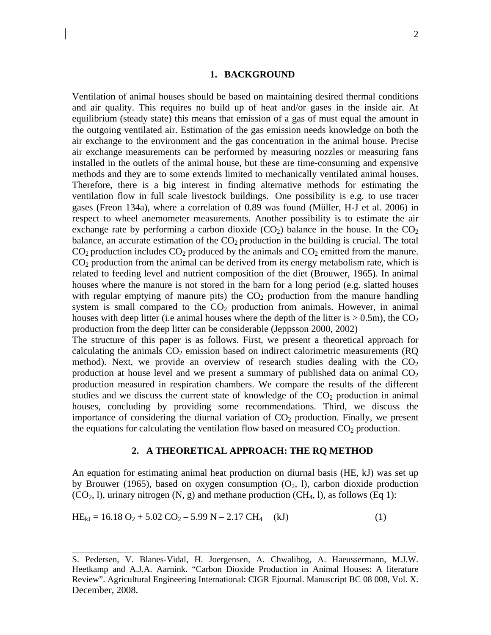#### **1. BACKGROUND**

Ventilation of animal houses should be based on maintaining desired thermal conditions and air quality. This requires no build up of heat and/or gases in the inside air. At equilibrium (steady state) this means that emission of a gas of must equal the amount in the outgoing ventilated air. Estimation of the gas emission needs knowledge on both the air exchange to the environment and the gas concentration in the animal house. Precise air exchange measurements can be performed by measuring nozzles or measuring fans installed in the outlets of the animal house, but these are time-consuming and expensive methods and they are to some extends limited to mechanically ventilated animal houses. Therefore, there is a big interest in finding alternative methods for estimating the ventilation flow in full scale livestock buildings. One possibility is e.g. to use tracer gases (Freon 134a), where a correlation of 0.89 was found (Müller, H-J et al. 2006) in respect to wheel anemometer measurements. Another possibility is to estimate the air exchange rate by performing a carbon dioxide  $(CO_2)$  balance in the house. In the  $CO_2$ balance, an accurate estimation of the  $CO<sub>2</sub>$  production in the building is crucial. The total  $CO<sub>2</sub>$  production includes  $CO<sub>2</sub>$  produced by the animals and  $CO<sub>2</sub>$  emitted from the manure.  $CO<sub>2</sub>$  production from the animal can be derived from its energy metabolism rate, which is related to feeding level and nutrient composition of the diet (Brouwer, 1965). In animal houses where the manure is not stored in the barn for a long period (e.g. slatted houses with regular emptying of manure pits) the  $CO<sub>2</sub>$  production from the manure handling system is small compared to the  $CO<sub>2</sub>$  production from animals. However, in animal houses with deep litter (i.e animal houses where the depth of the litter is  $> 0.5$ m), the CO<sub>2</sub> production from the deep litter can be considerable (Jeppsson 2000, 2002)

The structure of this paper is as follows. First, we present a theoretical approach for calculating the animals  $CO<sub>2</sub>$  emission based on indirect calorimetric measurements (RQ method). Next, we provide an overview of research studies dealing with the  $CO<sub>2</sub>$ production at house level and we present a summary of published data on animal  $CO<sub>2</sub>$ production measured in respiration chambers. We compare the results of the different studies and we discuss the current state of knowledge of the  $CO<sub>2</sub>$  production in animal houses, concluding by providing some recommendations. Third, we discuss the importance of considering the diurnal variation of  $CO<sub>2</sub>$  production. Finally, we present the equations for calculating the ventilation flow based on measured  $CO<sub>2</sub>$  production.

#### **2. A THEORETICAL APPROACH: THE RQ METHOD**

An equation for estimating animal heat production on diurnal basis (HE, kJ) was set up by Brouwer (1965), based on oxygen consumption  $(O_2, I)$ , carbon dioxide production  $(CO<sub>2</sub>, 1)$ , urinary nitrogen  $(N, g)$  and methane production  $(CH<sub>4</sub>, 1)$ , as follows  $(Eq 1)$ :

$$
HE_{kJ} = 16.18 O_2 + 5.02 CO_2 - 5.99 N - 2.17 CH_4 \quad (kJ)
$$
 (1)

S. Pedersen, V. Blanes-Vidal, H. Joergensen, A. Chwalibog, A. Haeussermann, M.J.W. Heetkamp and A.J.A. Aarnink. "Carbon Dioxide Production in Animal Houses: A literature Review". Agricultural Engineering International: CIGR Ejournal. Manuscript BC 08 008, Vol. X. December, 2008.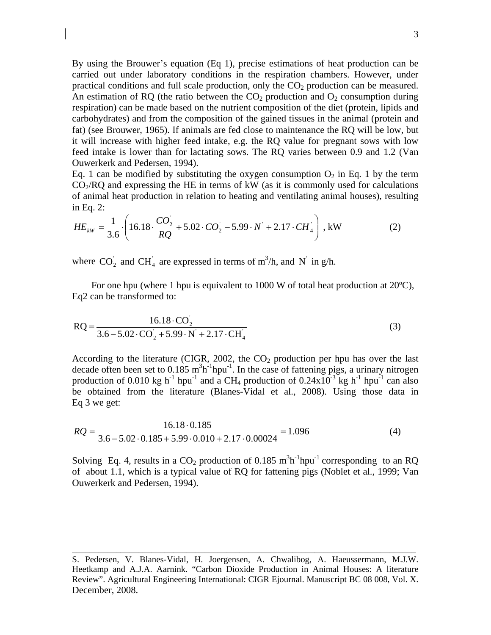By using the Brouwer's equation (Eq 1), precise estimations of heat production can be carried out under laboratory conditions in the respiration chambers. However, under practical conditions and full scale production, only the  $CO<sub>2</sub>$  production can be measured. An estimation of RQ (the ratio between the  $CO<sub>2</sub>$  production and  $O<sub>2</sub>$  consumption during respiration) can be made based on the nutrient composition of the diet (protein, lipids and carbohydrates) and from the composition of the gained tissues in the animal (protein and fat) (see Brouwer, 1965). If animals are fed close to maintenance the RQ will be low, but it will increase with higher feed intake, e.g. the RQ value for pregnant sows with low feed intake is lower than for lactating sows. The RQ varies between 0.9 and 1.2 (Van Ouwerkerk and Pedersen, 1994).

Eq. 1 can be modified by substituting the oxygen consumption  $O_2$  in Eq. 1 by the term  $CO<sub>2</sub>/RQ$  and expressing the HE in terms of kW (as it is commonly used for calculations of animal heat production in relation to heating and ventilating animal houses), resulting in Eq. 2:

$$
HE_{kW} = \frac{1}{3.6} \cdot \left( 16.18 \cdot \frac{CO_2}{RQ} + 5.02 \cdot CO_2 - 5.99 \cdot N' + 2.17 \cdot CH_4 \right), \text{ kW} \tag{2}
$$

where  $CO_2$  and  $CH_4$  are expressed in terms of m<sup>3</sup>/h, and N<sup>'</sup> in g/h.

For one hpu (where 1 hpu is equivalent to 1000 W of total heat production at  $20^{\circ}$ C), Eq2 can be transformed to:

$$
RQ = \frac{16.18 \cdot CO_2}{3.6 - 5.02 \cdot CO_2 + 5.99 \cdot N + 2.17 \cdot CH_4}
$$
(3)

According to the literature (CIGR, 2002, the  $CO<sub>2</sub>$  production per hpu has over the last decade often been set to  $0.185 \text{ m}^3 \text{h}^{-1} \text{h} \text{pu}^{-1}$ . In the case of fattening pigs, a urinary nitrogen production of 0.010 kg h<sup>-1</sup> hpu<sup>-1</sup> and a CH<sub>4</sub> production of 0.24x10<sup>-3</sup> kg h<sup>-1</sup> hpu<sup>-1</sup> can also be obtained from the literature (Blanes-Vidal et al., 2008). Using those data in Eq 3 we get:

$$
RQ = \frac{16.18 \cdot 0.185}{3.6 - 5.02 \cdot 0.185 + 5.99 \cdot 0.010 + 2.17 \cdot 0.00024} = 1.096\tag{4}
$$

Solving Eq. 4, results in a  $CO_2$  production of 0.185 m<sup>3</sup>h<sup>-1</sup>hpu<sup>-1</sup> corresponding to an RQ of about 1.1, which is a typical value of RQ for fattening pigs (Noblet et al., 1999; Van Ouwerkerk and Pedersen, 1994).

S. Pedersen, V. Blanes-Vidal, H. Joergensen, A. Chwalibog, A. Haeussermann, M.J.W. Heetkamp and A.J.A. Aarnink. "Carbon Dioxide Production in Animal Houses: A literature Review". Agricultural Engineering International: CIGR Ejournal. Manuscript BC 08 008, Vol. X. December, 2008.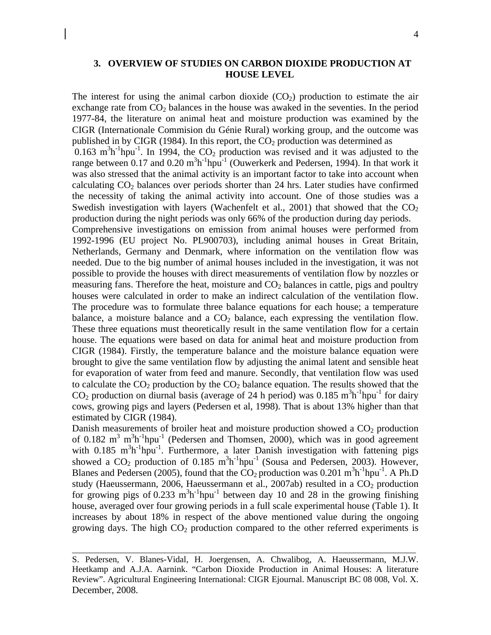### **3. OVERVIEW OF STUDIES ON CARBON DIOXIDE PRODUCTION AT HOUSE LEVEL**

The interest for using the animal carbon dioxide  $(CO<sub>2</sub>)$  production to estimate the air exchange rate from  $CO<sub>2</sub>$  balances in the house was awaked in the seventies. In the period 1977-84, the literature on animal heat and moisture production was examined by the CIGR (Internationale Commision du Génie Rural) working group, and the outcome was published in by CIGR (1984). In this report, the  $CO<sub>2</sub>$  production was determined as  $0.163 \text{ m}^3\text{h}^{-1}\text{hpu}^{-1}$ . In 1994, the CO<sub>2</sub> production was revised and it was adjusted to the range between 0.17 and 0.20  $m^3h^{-1}hpu^{-1}$  (Ouwerkerk and Pedersen, 1994). In that work it was also stressed that the animal activity is an important factor to take into account when calculating  $CO<sub>2</sub>$  balances over periods shorter than 24 hrs. Later studies have confirmed the necessity of taking the animal activity into account. One of those studies was a Swedish investigation with layers (Wachenfelt et al., 2001) that showed that the  $CO<sub>2</sub>$ production during the night periods was only 66% of the production during day periods. Comprehensive investigations on emission from animal houses were performed from 1992-1996 (EU project No. PL900703), including animal houses in Great Britain, Netherlands, Germany and Denmark, where information on the ventilation flow was needed. Due to the big number of animal houses included in the investigation, it was not possible to provide the houses with direct measurements of ventilation flow by nozzles or measuring fans. Therefore the heat, moisture and  $CO<sub>2</sub>$  balances in cattle, pigs and poultry houses were calculated in order to make an indirect calculation of the ventilation flow. The procedure was to formulate three balance equations for each house; a temperature balance, a moisture balance and a  $CO<sub>2</sub>$  balance, each expressing the ventilation flow. These three equations must theoretically result in the same ventilation flow for a certain house. The equations were based on data for animal heat and moisture production from CIGR (1984). Firstly, the temperature balance and the moisture balance equation were brought to give the same ventilation flow by adjusting the animal latent and sensible heat for evaporation of water from feed and manure. Secondly, that ventilation flow was used to calculate the  $CO<sub>2</sub>$  production by the  $CO<sub>2</sub>$  balance equation. The results showed that the  $CO<sub>2</sub>$  production on diurnal basis (average of 24 h period) was 0.185 m<sup>3</sup>h<sup>-1</sup>hpu<sup>-1</sup> for dairy cows, growing pigs and layers (Pedersen et al, 1998). That is about 13% higher than that estimated by CIGR (1984).

Danish measurements of broiler heat and moisture production showed a  $CO<sub>2</sub>$  production of 0.182  $m^3$   $m^3$ h<sup>-1</sup>hpu<sup>-1</sup> (Pedersen and Thomsen, 2000), which was in good agreement with  $0.185 \text{ m}^3\text{h}^{-1}\text{hpu}^{-1}$ . Furthermore, a later Danish investigation with fattening pigs showed a  $CO_2$  production of 0.185  $m^3h^{-1}hpu^{-1}$  (Sousa and Pedersen, 2003). However, Blanes and Pedersen (2005), found that the  $CO_2$  production was 0.201 m<sup>3</sup>h<sup>-1</sup>hpu<sup>-1</sup>. A Ph.D study (Haeussermann, 2006, Haeussermann et al., 2007ab) resulted in a  $CO<sub>2</sub>$  production for growing pigs of 0.233  $m<sup>3</sup>h<sup>-1</sup>hpu<sup>-1</sup>$  between day 10 and 28 in the growing finishing house, averaged over four growing periods in a full scale experimental house (Table 1). It increases by about 18% in respect of the above mentioned value during the ongoing growing days. The high  $CO<sub>2</sub>$  production compared to the other referred experiments is

S. Pedersen, V. Blanes-Vidal, H. Joergensen, A. Chwalibog, A. Haeussermann, M.J.W. Heetkamp and A.J.A. Aarnink. "Carbon Dioxide Production in Animal Houses: A literature Review". Agricultural Engineering International: CIGR Ejournal. Manuscript BC 08 008, Vol. X. December, 2008.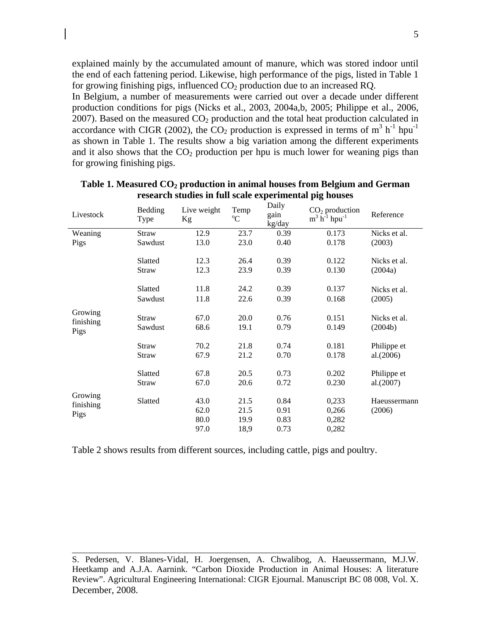explained mainly by the accumulated amount of manure, which was stored indoor until the end of each fattening period. Likewise, high performance of the pigs, listed in Table 1 for growing finishing pigs, influenced  $CO<sub>2</sub>$  production due to an increased RQ.

In Belgium, a number of measurements were carried out over a decade under different production conditions for pigs (Nicks et al., 2003, 2004a,b, 2005; Philippe et al., 2006, 2007). Based on the measured  $CO<sub>2</sub>$  production and the total heat production calculated in accordance with CIGR (2002), the  $CO_2$  production is expressed in terms of  $m^3 h^{-1}$  hpu<sup>-1</sup> as shown in Table 1. The results show a big variation among the different experiments and it also shows that the  $CO<sub>2</sub>$  production per hpu is much lower for weaning pigs than for growing finishing pigs.

| Livestock                    | Bedding<br>Type  | Live weight<br>Kg            | Temp<br>$\rm ^{o}C$          | Daily<br>gain<br>kg/day      | $CO2$ production<br>$m^3 h^{-1}$ hpu <sup>-1</sup> | Reference                |
|------------------------------|------------------|------------------------------|------------------------------|------------------------------|----------------------------------------------------|--------------------------|
| Weaning                      | Straw            | 12.9                         | 23.7                         | 0.39                         | 0.173                                              | Nicks et al.             |
| Pigs                         | Sawdust          | 13.0                         | 23.0                         | 0.40                         | 0.178                                              | (2003)                   |
|                              | Slatted          | 12.3                         | 26.4                         | 0.39                         | 0.122                                              | Nicks et al.             |
|                              | Straw            | 12.3                         | 23.9                         | 0.39                         | 0.130                                              | (2004a)                  |
|                              | Slatted          | 11.8                         | 24.2                         | 0.39                         | 0.137                                              | Nicks et al.             |
|                              | Sawdust          | 11.8                         | 22.6                         | 0.39                         | 0.168                                              | (2005)                   |
| Growing<br>finishing<br>Pigs | Straw<br>Sawdust | 67.0<br>68.6                 | 20.0<br>19.1                 | 0.76<br>0.79                 | 0.151<br>0.149                                     | Nicks et al.<br>(2004b)  |
|                              | Straw            | 70.2                         | 21.8                         | 0.74                         | 0.181                                              | Philippe et              |
|                              | Straw            | 67.9                         | 21.2                         | 0.70                         | 0.178                                              | al.(2006)                |
|                              | Slatted<br>Straw | 67.8<br>67.0                 | 20.5<br>20.6                 | 0.73<br>0.72                 | 0.202<br>0.230                                     | Philippe et<br>al.(2007) |
| Growing<br>finishing<br>Pigs | Slatted          | 43.0<br>62.0<br>80.0<br>97.0 | 21.5<br>21.5<br>19.9<br>18,9 | 0.84<br>0.91<br>0.83<br>0.73 | 0,233<br>0,266<br>0,282<br>0,282                   | Haeussermann<br>(2006)   |

Table 1. Measured CO<sub>2</sub> production in animal houses from Belgium and German **research studies in full scale experimental pig houses** 

Table 2 shows results from different sources, including cattle, pigs and poultry.

S. Pedersen, V. Blanes-Vidal, H. Joergensen, A. Chwalibog, A. Haeussermann, M.J.W. Heetkamp and A.J.A. Aarnink. "Carbon Dioxide Production in Animal Houses: A literature Review". Agricultural Engineering International: CIGR Ejournal. Manuscript BC 08 008, Vol. X. December, 2008.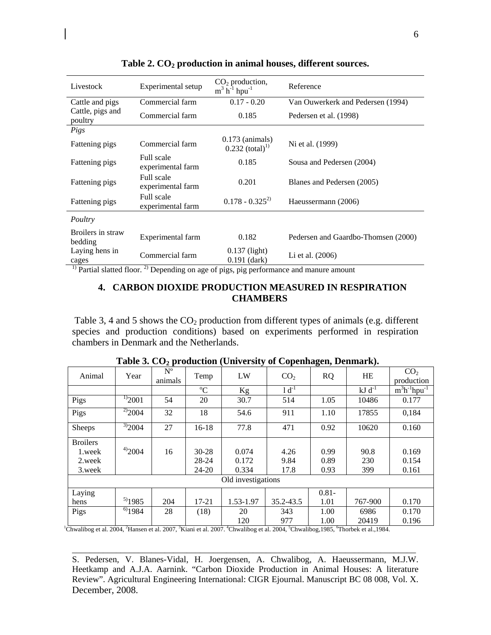| Livestock                    | Experimental setup              | $CO2$ production,<br>$m^3$ h <sup>-1</sup> hpu <sup>-1</sup> | Reference                           |
|------------------------------|---------------------------------|--------------------------------------------------------------|-------------------------------------|
| Cattle and pigs              | Commercial farm                 | $0.17 - 0.20$                                                | Van Ouwerkerk and Pedersen (1994)   |
| Cattle, pigs and<br>poultry  | Commercial farm                 | 0.185                                                        | Pedersen et al. (1998)              |
| Pigs                         |                                 |                                                              |                                     |
| Fattening pigs               | Commercial farm                 | $0.173$ (animals)<br>$0.232$ (total) <sup>1)</sup>           | Ni et al. (1999)                    |
| Fattening pigs               | Full scale<br>experimental farm | 0.185                                                        | Sousa and Pedersen (2004)           |
| Fattening pigs               | Full scale<br>experimental farm | 0.201                                                        | Blanes and Pedersen (2005)          |
| Fattening pigs               | Full scale<br>experimental farm | $0.178 - 0.325^{2}$                                          | Haeussermann (2006)                 |
| Poultry                      |                                 |                                                              |                                     |
| Broilers in straw<br>bedding | Experimental farm               | 0.182                                                        | Pedersen and Gaardbo-Thomsen (2000) |
| Laying hens in<br>cages      | Commercial farm<br>$21 -$       | $0.137$ (light)<br>$0.191$ (dark)                            | Li et al. (2006)                    |

Table 2. CO<sub>2</sub> production in animal houses, different sources.

<sup>1)</sup> Partial slatted floor.<sup>2)</sup> Depending on age of pigs, pig performance and manure amount

# **4. CARBON DIOXIDE PRODUCTION MEASURED IN RESPIRATION CHAMBERS**

Table 3, 4 and 5 shows the  $CO<sub>2</sub>$  production from different types of animals (e.g. different species and production conditions) based on experiments performed in respiration chambers in Denmark and the Netherlands.

| Animal                                                                                                                                                                                                    | Year              | $N^{\rm o}$<br>animals | Temp        | LW        | CO <sub>2</sub> | <b>RQ</b> | HE          | CO <sub>2</sub><br>production |
|-----------------------------------------------------------------------------------------------------------------------------------------------------------------------------------------------------------|-------------------|------------------------|-------------|-----------|-----------------|-----------|-------------|-------------------------------|
|                                                                                                                                                                                                           |                   |                        | $\rm ^{o}C$ | Kg        | $1d^{-1}$       |           | $kJ d^{-1}$ | $m^3h^{-1}$ hpu <sup>-1</sup> |
| Pigs                                                                                                                                                                                                      | $\frac{1}{2}2001$ | 54                     | 20          | 30.7      | 514             | 1.05      | 10486       | 0.177                         |
| Pigs                                                                                                                                                                                                      | $\frac{20}{2}004$ | 32                     | 18          | 54.6      | 911             | 1.10      | 17855       | 0,184                         |
| <b>Sheeps</b>                                                                                                                                                                                             | $^{3)}2004$       | 27                     | $16 - 18$   | 77.8      | 471             | 0.92      | 10620       | 0.160                         |
| <b>Broilers</b>                                                                                                                                                                                           |                   |                        |             |           |                 |           |             |                               |
| 1.week                                                                                                                                                                                                    | 4)2004            | 16                     | $30 - 28$   | 0.074     | 4.26            | 0.99      | 90.8        | 0.169                         |
| 2.week                                                                                                                                                                                                    |                   |                        | 28-24       | 0.172     | 9.84            | 0.89      | 230         | 0.154                         |
| 3.week                                                                                                                                                                                                    |                   |                        | 24-20       | 0.334     | 17.8            | 0.93      | 399         | 0.161                         |
| Old investigations                                                                                                                                                                                        |                   |                        |             |           |                 |           |             |                               |
| Laying                                                                                                                                                                                                    |                   |                        |             |           |                 | $0.81 -$  |             |                               |
| hens                                                                                                                                                                                                      | $5)$ 1985         | 204                    | $17 - 21$   | 1.53-1.97 | 35.2-43.5       | 1.01      | 767-900     | 0.170                         |
| Pigs                                                                                                                                                                                                      | $60$ 1984         | 28                     | (18)        | 20        | 343             | 1.00      | 6986        | 0.170                         |
|                                                                                                                                                                                                           |                   |                        |             | 120       | 977             | 1.00      | 20419       | 0.196                         |
| <sup>1</sup> Chwalibog et al. 2004, <sup>2</sup> Hansen et al. 2007, <sup>3</sup> Kiani et al. 2007, <sup>4</sup> Chwalibog et al. 2004, <sup>5</sup> Chwalibog, 1985, <sup>6</sup> Thorbek et al., 1984. |                   |                        |             |           |                 |           |             |                               |

Table 3. CO<sub>2</sub> production (University of Copenhagen, Denmark).

S. Pedersen, V. Blanes-Vidal, H. Joergensen, A. Chwalibog, A. Haeussermann, M.J.W. Heetkamp and A.J.A. Aarnink. "Carbon Dioxide Production in Animal Houses: A literature Review". Agricultural Engineering International: CIGR Ejournal. Manuscript BC 08 008, Vol. X. December, 2008.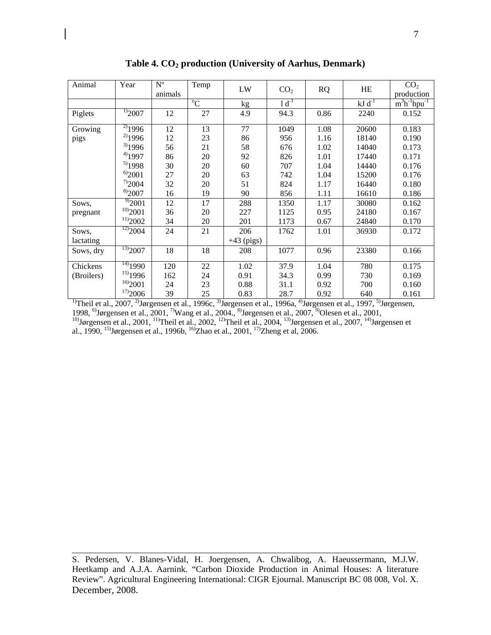| Animal     | Year                           | $N^{\circ}$<br>animals | Temp        | ${\rm LW}$   | CO <sub>2</sub> | <b>RQ</b> | HE                   | CO <sub>2</sub><br>production |
|------------|--------------------------------|------------------------|-------------|--------------|-----------------|-----------|----------------------|-------------------------------|
|            |                                |                        | $^{\circ}C$ | kg           | $1 d^{-1}$      |           | $kJ$ d <sup>-1</sup> | $m3h-1hpu-1$                  |
| Piglets    | $\frac{1}{2}007$               | 12                     | 27          | 4.9          | 94.3            | 0.86      | 2240                 | 0.152                         |
| Growing    | $^{2)}$ 1996                   | 12                     | 13          | 77           | 1049            | 1.08      | 20600                | 0.183                         |
| pigs       | $^{2)}$ 1996                   | 12                     | 23          | 86           | 956             | 1.16      | 18140                | 0.190                         |
|            | 3)1996                         | 56                     | 21          | 58           | 676             | 1.02      | 14040                | 0.173                         |
|            | $^{4)}$ 1997                   | 86                     | 20          | 92           | 826             | 1.01      | 17440                | 0.171                         |
|            | 5)1998                         | 30                     | 20          | 60           | 707             | 1.04      | 14440                | 0.176                         |
|            | $^{6)}2001$                    | 27                     | 20          | 63           | 742             | 1.04      | 15200                | 0.176                         |
|            | $^{7)}2004$                    | 32                     | 20          | 51           | 824             | 1.17      | 16440                | 0.180                         |
|            | 8)2007                         | 16                     | 19          | 90           | 856             | 1.11      | 16610                | 0.186                         |
| Sows,      | $\overline{9}$ 2001            | 12                     | 17          | 288          | 1350            | 1.17      | 30080                | 0.162                         |
| pregnant   | 10)2001                        | 36                     | 20          | 227          | 1125            | 0.95      | 24180                | 0.167                         |
|            | 11)2002                        | 34                     | 20          | 201          | 1173            | 0.67      | 24840                | 0.170                         |
| Sows,      | $\frac{12}{2004}$              | 24                     | 21          | 206          | 1762            | 1.01      | 36930                | 0.172                         |
| lactating  |                                |                        |             | $+43$ (pigs) |                 |           |                      |                               |
| Sows, dry  | $\frac{13}{2}$ <sub>2007</sub> | 18                     | 18          | 208          | 1077            | 0.96      | 23380                | 0.166                         |
| Chickens   | $\frac{14}{14}$ 1990           | 120                    | 22          | 1.02         | 37.9            | 1.04      | 780                  | 0.175                         |
| (Broilers) | 15)1996                        | 162                    | 24          | 0.91         | 34.3            | 0.99      | 730                  | 0.169                         |
|            | 16)2001                        | 24                     | 23          | 0.88         | 31.1            | 0.92      | 700                  | 0.160                         |
|            | 17)2006                        | 39                     | 25          | 0.83         | 28.7            | 0.92      | 640                  | 0.161                         |

**Table 4. CO2 production (University of Aarhus, Denmark)** 

<sup>1)</sup>Theil et al., 2007, <sup>2)</sup>Jørgensen et al., 1996c, <sup>3)</sup>Jørgensen et al., 1996a, <sup>4)</sup>Jørgensen et al., 1997, <sup>5)</sup>Jørgensen, 1998, <sup>6)</sup>Jørgensen et al., 2001, <sup>7)</sup>Wang et al., 2004., <sup>8)</sup>Jørgensen et al., 2007, <sup>9)</sup>Olesen et al., 2001, <sup>10)</sup>Jørgensen et al., 2001, <sup>11)</sup>Theil et al., 2002, <sup>12)</sup>Theil et al., 2004, <sup>13)</sup>Jørgensen et al., 2007, <sup>14)</sup>Jørgensen et al., 1990, <sup>15)</sup>Jørgensen et al., 1996b, <sup>16)</sup>Zhao et al., 2001, <sup>17)</sup>Zheng et al, 2006.

S. Pedersen, V. Blanes-Vidal, H. Joergensen, A. Chwalibog, A. Haeussermann, M.J.W. Heetkamp and A.J.A. Aarnink. "Carbon Dioxide Production in Animal Houses: A literature Review". Agricultural Engineering International: CIGR Ejournal. Manuscript BC 08 008, Vol. X. December, 2008.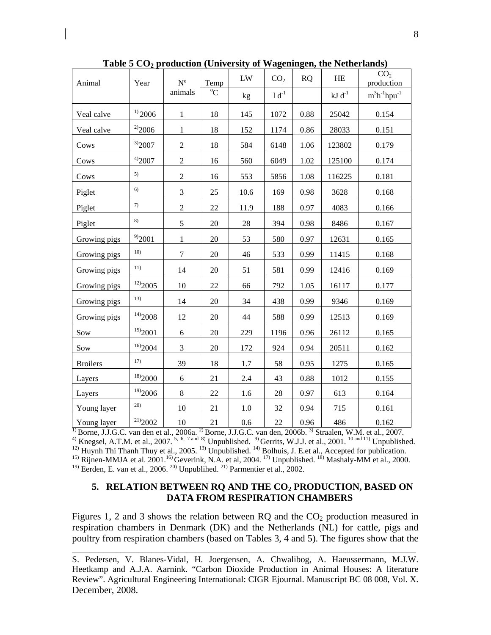| Animal          | Year                                 | N <sup>o</sup>   | Temp           | ${\rm LW}$ | CO <sub>2</sub> | <b>RQ</b> | HE          | CO <sub>2</sub><br>production |
|-----------------|--------------------------------------|------------------|----------------|------------|-----------------|-----------|-------------|-------------------------------|
|                 |                                      | animals          | $\overline{C}$ | kg         | $1 d^{-1}$      |           | $kJ d^{-1}$ | $m^3h^{-1}hpu^{-1}$           |
| Veal calve      | $^{1)}$ 2006                         | $\mathbf{1}$     | 18             | 145        | 1072            | 0.88      | 25042       | 0.154                         |
| Veal calve      | $^{2)}2006$                          | $\mathbf{1}$     | 18             | 152        | 1174            | 0.86      | 28033       | 0.151                         |
| Cows            | $^{3)}2007$                          | $\overline{2}$   | 18             | 584        | 6148            | 1.06      | 123802      | 0.179                         |
| Cows            | 4)2007                               | $\boldsymbol{2}$ | 16             | 560        | 6049            | 1.02      | 125100      | 0.174                         |
| Cows            | 5)                                   | $\overline{c}$   | 16             | 553        | 5856            | 1.08      | 116225      | 0.181                         |
| Piglet          | 6)                                   | $\mathfrak{Z}$   | 25             | 10.6       | 169             | 0.98      | 3628        | 0.168                         |
| Piglet          | 7)                                   | $\overline{2}$   | 22             | 11.9       | 188             | 0.97      | 4083        | 0.166                         |
| Piglet          | 8)                                   | 5                | $20\,$         | 28         | 394             | 0.98      | 8486        | 0.167                         |
| Growing pigs    | $^{9)}2001$                          | $\mathbf{1}$     | 20             | 53         | 580             | 0.97      | 12631       | 0.165                         |
| Growing pigs    | 10 <sub>0</sub>                      | $\overline{7}$   | 20             | 46         | 533             | 0.99      | 11415       | 0.168                         |
| Growing pigs    | 11)                                  | 14               | 20             | 51         | 581             | 0.99      | 12416       | 0.169                         |
| Growing pigs    | $^{12)}2005$                         | 10               | 22             | 66         | 792             | 1.05      | 16117       | 0.177                         |
| Growing pigs    | 13)                                  | 14               | 20             | 34         | 438             | 0.99      | 9346        | 0.169                         |
| Growing pigs    | $^{14)}2008$                         | 12               | 20             | 44         | 588             | 0.99      | 12513       | 0.169                         |
| Sow             | $^{15)}2001$                         | 6                | 20             | 229        | 1196            | 0.96      | 26112       | 0.165                         |
| Sow             | 16)2004                              | $\mathfrak{Z}$   | 20             | 172        | 924             | 0.94      | 20511       | 0.162                         |
| <b>Broilers</b> | 17)                                  | 39               | 18             | 1.7        | 58              | 0.95      | 1275        | 0.165                         |
| Layers          | 18)2000                              | $\sqrt{6}$       | 21             | $2.4\,$    | 43              | 0.88      | 1012        | 0.155                         |
| Layers          | $^{19)}2006$                         | $\,8\,$          | 22             | 1.6        | 28              | 0.97      | 613         | 0.164                         |
| Young layer     | 20)                                  | 10               | 21             | 1.0        | 32              | 0.94      | 715         | 0.161                         |
| Young layer     | $^{\mathrm{21)}}\!\boldsymbol{2002}$ | 10               | 21             | 0.6        | 22              | 0.96      | 486         | 0.162                         |

Table 5 CO<sub>2</sub> production (University of Wageningen, the Netherlands)

 $^{1)}$ Borne, J.J.G.C. van den et al., 2006a.  $^{2)}$ Borne, J.J.G.C. van den, 2006b.  $^{3)}$  Straalen, W.M. et al., 2007. <sup>4)</sup> Knegsel, A.T.M. et al., 2007. <sup>5, 6, 7 and 8)</sup> Unpublished. <sup>9)</sup> Gerrits, W.J.J. et al., 2001. <sup>10 and 11)</sup> Unpublished.  $12)$  Huynh Thi Thanh Thuy et al., 2005.  $13)$  Unpublished.  $14)$  Bolhuis, J. E.et al., Accepted for publication.

<sup>15)</sup> Rijnen-MMJA et al. 2001.<sup>16)</sup> Geverink, N.A. et al, 2004. <sup>17)</sup> Unpublished. <sup>18)</sup> Mashaly-MM et al., 2000. <sup>19)</sup> Eerden, E. van et al., 2006.<sup>20)</sup> Unpublihed.<sup>21)</sup> Parmentier et al., 2002.

## 5. RELATION BETWEEN RQ AND THE CO<sub>2</sub> PRODUCTION, BASED ON **DATA FROM RESPIRATION CHAMBERS**

Figures 1, 2 and 3 shows the relation between  $RQ$  and the  $CO<sub>2</sub>$  production measured in respiration chambers in Denmark (DK) and the Netherlands (NL) for cattle, pigs and poultry from respiration chambers (based on Tables 3, 4 and 5). The figures show that the

S. Pedersen, V. Blanes-Vidal, H. Joergensen, A. Chwalibog, A. Haeussermann, M.J.W. Heetkamp and A.J.A. Aarnink. "Carbon Dioxide Production in Animal Houses: A literature Review". Agricultural Engineering International: CIGR Ejournal. Manuscript BC 08 008, Vol. X. December, 2008.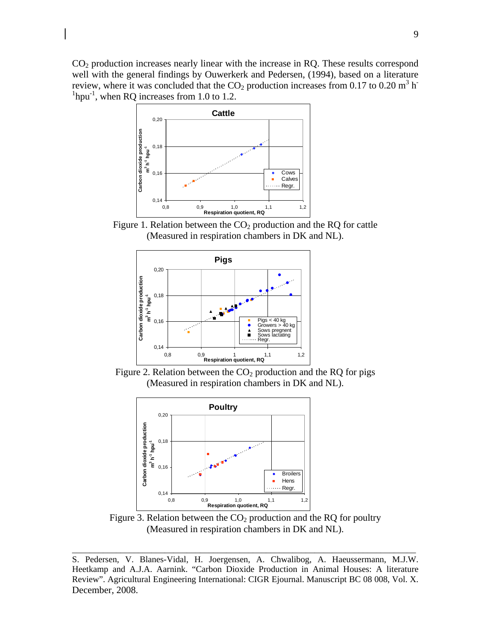$CO<sub>2</sub>$  production increases nearly linear with the increase in RQ. These results correspond well with the general findings by Ouwerkerk and Pedersen, (1994), based on a literature review, where it was concluded that the  $CO_2$  production increases from 0.17 to 0.20 m<sup>3</sup> h<sup>-</sup>  ${}^{1}$ hpu<sup>-1</sup>, when RQ increases from 1.0 to 1.2.



Figure 1. Relation between the  $CO<sub>2</sub>$  production and the RQ for cattle (Measured in respiration chambers in DK and NL).



Figure 2. Relation between the  $CO<sub>2</sub>$  production and the RQ for pigs (Measured in respiration chambers in DK and NL).



Figure 3. Relation between the  $CO<sub>2</sub>$  production and the RQ for poultry (Measured in respiration chambers in DK and NL).

S. Pedersen, V. Blanes-Vidal, H. Joergensen, A. Chwalibog, A. Haeussermann, M.J.W. Heetkamp and A.J.A. Aarnink. "Carbon Dioxide Production in Animal Houses: A literature Review". Agricultural Engineering International: CIGR Ejournal. Manuscript BC 08 008, Vol. X. December, 2008.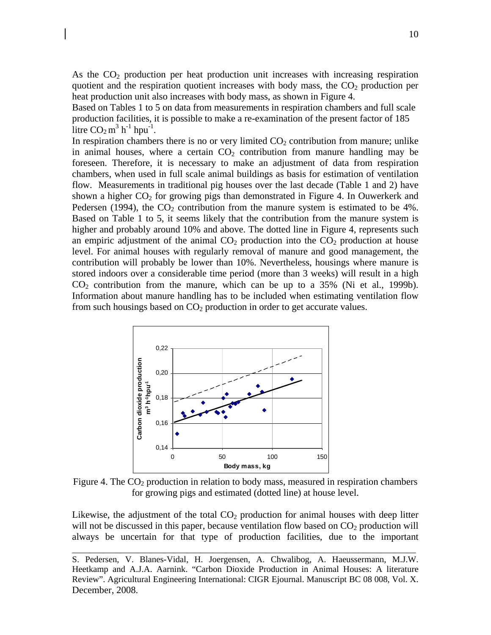As the  $CO<sub>2</sub>$  production per heat production unit increases with increasing respiration quotient and the respiration quotient increases with body mass, the  $CO<sub>2</sub>$  production per heat production unit also increases with body mass, as shown in Figure 4.

Based on Tables 1 to 5 on data from measurements in respiration chambers and full scale production facilities, it is possible to make a re-examination of the present factor of 185 litre  $CO<sub>2</sub> m<sup>3</sup> h<sup>-1</sup> hpu<sup>-1</sup>$ .

In respiration chambers there is no or very limited  $CO<sub>2</sub>$  contribution from manure; unlike in animal houses, where a certain  $CO<sub>2</sub>$  contribution from manure handling may be foreseen. Therefore, it is necessary to make an adjustment of data from respiration chambers, when used in full scale animal buildings as basis for estimation of ventilation flow. Measurements in traditional pig houses over the last decade (Table 1 and 2) have shown a higher  $CO<sub>2</sub>$  for growing pigs than demonstrated in Figure 4. In Ouwerkerk and Pedersen (1994), the  $CO<sub>2</sub>$  contribution from the manure system is estimated to be 4%. Based on Table 1 to 5, it seems likely that the contribution from the manure system is higher and probably around 10% and above. The dotted line in Figure 4, represents such an empiric adjustment of the animal  $CO<sub>2</sub>$  production into the  $CO<sub>2</sub>$  production at house level. For animal houses with regularly removal of manure and good management, the contribution will probably be lower than 10%. Nevertheless, housings where manure is stored indoors over a considerable time period (more than 3 weeks) will result in a high  $CO<sub>2</sub>$  contribution from the manure, which can be up to a 35% (Ni et al., 1999b). Information about manure handling has to be included when estimating ventilation flow from such housings based on  $CO<sub>2</sub>$  production in order to get accurate values.



Figure 4. The  $CO<sub>2</sub>$  production in relation to body mass, measured in respiration chambers for growing pigs and estimated (dotted line) at house level.

Likewise, the adjustment of the total  $CO<sub>2</sub>$  production for animal houses with deep litter will not be discussed in this paper, because ventilation flow based on  $CO<sub>2</sub>$  production will always be uncertain for that type of production facilities, due to the important

S. Pedersen, V. Blanes-Vidal, H. Joergensen, A. Chwalibog, A. Haeussermann, M.J.W. Heetkamp and A.J.A. Aarnink. "Carbon Dioxide Production in Animal Houses: A literature Review". Agricultural Engineering International: CIGR Ejournal. Manuscript BC 08 008, Vol. X. December, 2008.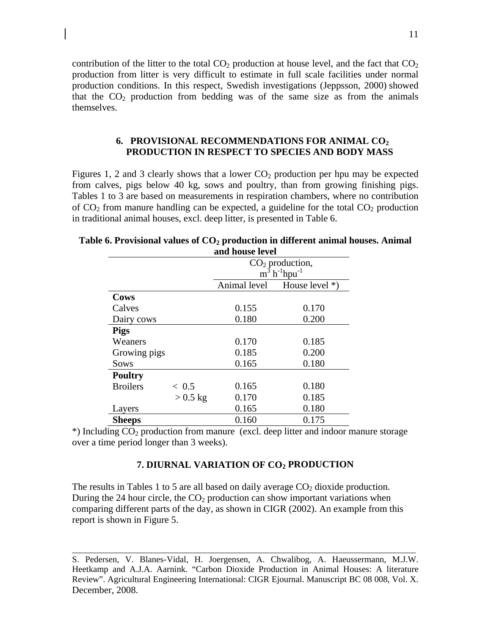contribution of the litter to the total  $CO<sub>2</sub>$  production at house level, and the fact that  $CO<sub>2</sub>$ production from litter is very difficult to estimate in full scale facilities under normal production conditions. In this respect, Swedish investigations (Jeppsson, 2000) showed that the  $CO<sub>2</sub>$  production from bedding was of the same size as from the animals themselves.

### **6. PROVISIONAL RECOMMENDATIONS FOR ANIMAL CO2 PRODUCTION IN RESPECT TO SPECIES AND BODY MASS**

Figures 1, 2 and 3 clearly shows that a lower  $CO<sub>2</sub>$  production per hpu may be expected from calves, pigs below 40 kg, sows and poultry, than from growing finishing pigs. Tables 1 to 3 are based on measurements in respiration chambers, where no contribution of  $CO<sub>2</sub>$  from manure handling can be expected, a guideline for the total  $CO<sub>2</sub>$  production in traditional animal houses, excl. deep litter, is presented in Table 6.

|                 | and nouse level |                                         |                  |  |  |  |
|-----------------|-----------------|-----------------------------------------|------------------|--|--|--|
|                 |                 | $CO2$ production,                       |                  |  |  |  |
|                 |                 | $m^3$ h <sup>-1</sup> hpu <sup>-1</sup> |                  |  |  |  |
|                 |                 | Animal level                            | House level $*)$ |  |  |  |
| <b>Cows</b>     |                 |                                         |                  |  |  |  |
| Calves          |                 | 0.155                                   | 0.170            |  |  |  |
| Dairy cows      |                 | 0.180                                   | 0.200            |  |  |  |
| <b>Pigs</b>     |                 |                                         |                  |  |  |  |
| Weaners         |                 | 0.170                                   | 0.185            |  |  |  |
| Growing pigs    |                 | 0.185                                   | 0.200            |  |  |  |
| Sows            |                 | 0.165                                   | 0.180            |  |  |  |
| <b>Poultry</b>  |                 |                                         |                  |  |  |  |
| <b>Broilers</b> | ~< 0.5          | 0.165                                   | 0.180            |  |  |  |
|                 | $> 0.5$ kg      | 0.170                                   | 0.185            |  |  |  |
| Layers          |                 | 0.165                                   | 0.180            |  |  |  |
| <b>Sheeps</b>   |                 | 0.160                                   | 0.175            |  |  |  |

**Table 6. Provisional values of CO<sub>2</sub> production in different animal houses. Animal and house level** 

\*) Including CO2 production from manure (excl. deep litter and indoor manure storage over a time period longer than 3 weeks).

### **7. DIURNAL VARIATION OF CO2 PRODUCTION**

The results in Tables 1 to 5 are all based on daily average  $CO<sub>2</sub>$  dioxide production. During the 24 hour circle, the  $CO<sub>2</sub>$  production can show important variations when comparing different parts of the day, as shown in CIGR (2002). An example from this report is shown in Figure 5.

S. Pedersen, V. Blanes-Vidal, H. Joergensen, A. Chwalibog, A. Haeussermann, M.J.W. Heetkamp and A.J.A. Aarnink. "Carbon Dioxide Production in Animal Houses: A literature Review". Agricultural Engineering International: CIGR Ejournal. Manuscript BC 08 008, Vol. X. December, 2008.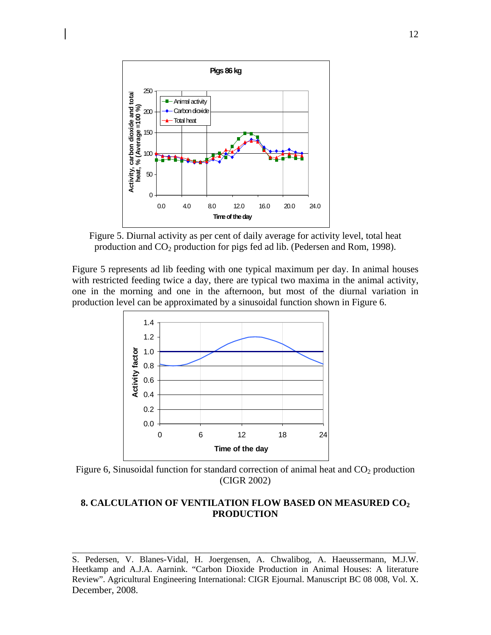

 Figure 5. Diurnal activity as per cent of daily average for activity level, total heat production and CO2 production for pigs fed ad lib. (Pedersen and Rom, 1998).

Figure 5 represents ad lib feeding with one typical maximum per day. In animal houses with restricted feeding twice a day, there are typical two maxima in the animal activity, one in the morning and one in the afternoon, but most of the diurnal variation in production level can be approximated by a sinusoidal function shown in Figure 6.



Figure 6, Sinusoidal function for standard correction of animal heat and  $CO<sub>2</sub>$  production (CIGR 2002)

## **8. CALCULATION OF VENTILATION FLOW BASED ON MEASURED CO2 PRODUCTION**

S. Pedersen, V. Blanes-Vidal, H. Joergensen, A. Chwalibog, A. Haeussermann, M.J.W. Heetkamp and A.J.A. Aarnink. "Carbon Dioxide Production in Animal Houses: A literature Review". Agricultural Engineering International: CIGR Ejournal. Manuscript BC 08 008, Vol. X. December, 2008.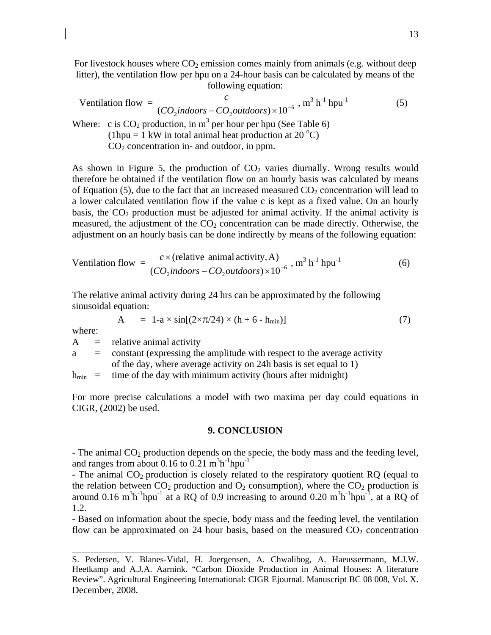For livestock houses where  $CO<sub>2</sub>$  emission comes mainly from animals (e.g. without deep litter), the ventilation flow per hpu on a 24-hour basis can be calculated by means of the following equation:

$$
\text{Vertical function} \text{flow} = \frac{c}{(CO_2 \text{indoors} - CO_2 \text{outdoors}) \times 10^{-6}}, \text{m}^3 \text{ h}^{-1} \text{ hpu}^{-1} \tag{5}
$$

Where: c is  $CO_2$  production, in m<sup>3</sup> per hour per hpu (See Table 6) (1hpu = 1 kW in total animal heat production at 20  $^{\circ}$ C)  $CO<sub>2</sub>$  concentration in- and outdoor, in ppm.

As shown in Figure 5, the production of  $CO<sub>2</sub>$  varies diurnally. Wrong results would therefore be obtained if the ventilation flow on an hourly basis was calculated by means of Equation (5), due to the fact that an increased measured  $CO<sub>2</sub>$  concentration will lead to a lower calculated ventilation flow if the value c is kept as a fixed value. On an hourly basis, the  $CO<sub>2</sub>$  production must be adjusted for animal activity. If the animal activity is measured, the adjustment of the  $CO<sub>2</sub>$  concentration can be made directly. Otherwise, the adjustment on an hourly basis can be done indirectly by means of the following equation:

$$
Vertical function flow = \frac{c \times (relative animal activity, A)}{(CO_2indoors - CO_2outdoors) \times 10^{-6}}, m^3 h^{-1} hpu^{-1}
$$
 (6)

The relative animal activity during 24 hrs can be approximated by the following sinusoidal equation:

$$
A = 1 - a \times \sin[(2 \times \pi / 24) \times (h + 6 - h_{min})]
$$
 (7)

where:

 $A =$  relative animal activity

a = constant (expressing the amplitude with respect to the average activity of the day, where average activity on 24h basis is set equal to 1)

 $h_{\text{min}}$  = time of the day with minimum activity (hours after midnight)

For more precise calculations a model with two maxima per day could equations in CIGR, (2002) be used.

#### **9. CONCLUSION**

- The animal  $CO<sub>2</sub>$  production depends on the specie, the body mass and the feeding level, and ranges from about 0.16 to  $0.21 \text{ m}^3 \text{h}^{-1} \text{h} \text{p} \text{u}^{-1}$ 

- The animal  $CO<sub>2</sub>$  production is closely related to the respiratory quotient RQ (equal to the relation between  $CO_2$  production and  $O_2$  consumption), where the  $CO_2$  production is around 0.16 m<sup>3</sup>h<sup>-1</sup>hpu<sup>-1</sup> at a RQ of 0.9 increasing to around 0.20 m<sup>3</sup>h<sup>-1</sup>hpu<sup>-1</sup>, at a RQ of 1.2.

- Based on information about the specie, body mass and the feeding level, the ventilation flow can be approximated on 24 hour basis, based on the measured  $CO<sub>2</sub>$  concentration

S. Pedersen, V. Blanes-Vidal, H. Joergensen, A. Chwalibog, A. Haeussermann, M.J.W. Heetkamp and A.J.A. Aarnink. "Carbon Dioxide Production in Animal Houses: A literature Review". Agricultural Engineering International: CIGR Ejournal. Manuscript BC 08 008, Vol. X. December, 2008.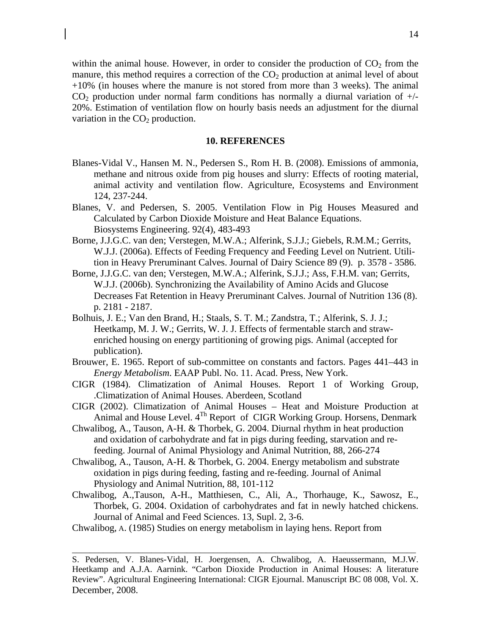within the animal house. However, in order to consider the production of  $CO<sub>2</sub>$  from the manure, this method requires a correction of the  $CO<sub>2</sub>$  production at animal level of about +10% (in houses where the manure is not stored from more than 3 weeks). The animal  $CO<sub>2</sub>$  production under normal farm conditions has normally a diurnal variation of  $+/-$ 20%. Estimation of ventilation flow on hourly basis needs an adjustment for the diurnal variation in the  $CO<sub>2</sub>$  production.

### **10. REFERENCES**

- Blanes-Vidal V., Hansen M. N., Pedersen S., Rom H. B. (2008). Emissions of ammonia, methane and nitrous oxide from pig houses and slurry: Effects of rooting material, animal activity and ventilation flow. Agriculture, Ecosystems and Environment 124, 237-244.
- Blanes, V. and Pedersen, S. 2005. Ventilation Flow in Pig Houses Measured and Calculated by Carbon Dioxide Moisture and Heat Balance Equations. Biosystems Engineering. 92(4), 483-493
- Borne, J.J.G.C. van den; Verstegen, M.W.A.; Alferink, S.J.J.; Giebels, R.M.M.; Gerrits, W.J.J. (2006a). Effects of Feeding Frequency and Feeding Level on Nutrient. Utilition in Heavy Preruminant Calves. Journal of Dairy Science 89 (9). p. 3578 - 3586.
- Borne, J.J.G.C. van den; Verstegen, M.W.A.; Alferink, S.J.J.; Ass, F.H.M. van; Gerrits, W.J.J. (2006b). Synchronizing the Availability of Amino Acids and Glucose Decreases Fat Retention in Heavy Preruminant Calves. Journal of Nutrition 136 (8). p. 2181 - 2187.
- Bolhuis, J. E.; Van den Brand, H.; Staals, S. T. M.; Zandstra, T.; Alferink, S. J. J.; Heetkamp, M. J. W.; Gerrits, W. J. J. Effects of fermentable starch and strawenriched housing on energy partitioning of growing pigs. Animal (accepted for publication).
- Brouwer, E. 1965. Report of sub-committee on constants and factors. Pages 441–443 in *Energy Metabolism*. EAAP Publ. No. 11. Acad. Press, New York.
- CIGR (1984). Climatization of Animal Houses. Report 1 of Working Group, .Climatization of Animal Houses. Aberdeen, Scotland
- CIGR (2002). Climatization of Animal Houses Heat and Moisture Production at Animal and House Level. 4<sup>Th</sup> Report of CIGR Working Group. Horsens, Denmark
- Chwalibog, A., Tauson, A-H. & Thorbek, G. 2004. Diurnal rhythm in heat production and oxidation of carbohydrate and fat in pigs during feeding, starvation and refeeding. Journal of Animal Physiology and Animal Nutrition, 88, 266-274
- Chwalibog, A., Tauson, A-H. & Thorbek, G. 2004. Energy metabolism and substrate oxidation in pigs during feeding, fasting and re-feeding. Journal of Animal Physiology and Animal Nutrition, 88, 101-112
- Chwalibog, A.,Tauson, A-H., Matthiesen, C., Ali, A., Thorhauge, K., Sawosz, E., Thorbek, G. 2004. Oxidation of carbohydrates and fat in newly hatched chickens. Journal of Animal and Feed Sciences. 13, Supl. 2, 3-6.
- Chwalibog, A. (1985) Studies on energy metabolism in laying hens. Report from

S. Pedersen, V. Blanes-Vidal, H. Joergensen, A. Chwalibog, A. Haeussermann, M.J.W. Heetkamp and A.J.A. Aarnink. "Carbon Dioxide Production in Animal Houses: A literature Review". Agricultural Engineering International: CIGR Ejournal. Manuscript BC 08 008, Vol. X. December, 2008.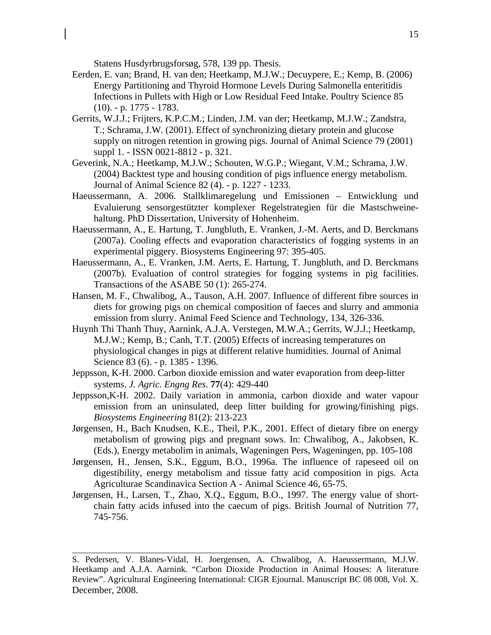Statens Husdyrbrugsforsøg, 578, 139 pp. Thesis.

- Eerden, E. van; Brand, H. van den; Heetkamp, M.J.W.; Decuypere, E.; Kemp, B. (2006) Energy Partitioning and Thyroid Hormone Levels During Salmonella enteritidis Infections in Pullets with High or Low Residual Feed Intake. Poultry Science 85 (10). - p. 1775 - 1783.
- Gerrits, W.J.J.; Frijters, K.P.C.M.; Linden, J.M. van der; Heetkamp, M.J.W.; Zandstra, T.; Schrama, J.W. (2001). Effect of synchronizing dietary protein and glucose supply on nitrogen retention in growing pigs. Journal of Animal Science 79 (2001) suppl 1. - ISSN 0021-8812 - p. 321.
- Geverink, N.A.; Heetkamp, M.J.W.; Schouten, W.G.P.; Wiegant, V.M.; Schrama, J.W. (2004) Backtest type and housing condition of pigs influence energy metabolism. Journal of Animal Science 82 (4). - p. 1227 - 1233.
- Haeussermann, A. 2006. Stallklimaregelung und Emissionen Entwicklung und Evaluierung sensorgestützter komplexer Regelstrategien für die Mastschweinehaltung. PhD Dissertation, University of Hohenheim.
- Haeussermann, A., E. Hartung, T. Jungbluth, E. Vranken, J.-M. Aerts, and D. Berckmans (2007a). Cooling effects and evaporation characteristics of fogging systems in an experimental piggery. Biosystems Engineering 97: 395-405.
- Haeussermann, A., E. Vranken, J.M. Aerts, E. Hartung, T. Jungbluth, and D. Berckmans (2007b). Evaluation of control strategies for fogging systems in pig facilities. Transactions of the ASABE 50 (1): 265-274.
- Hansen, M. F., Chwalibog, A., Tauson, A.H. 2007*.* Influence of different fibre sources in diets for growing pigs on chemical composition of faeces and slurry and ammonia emission from slurry. Animal Feed Science and Technology, 134, 326-336.
- Huynh Thi Thanh Thuy, Aarnink, A.J.A. Verstegen, M.W.A.; Gerrits, W.J.J.; Heetkamp, M.J.W.; Kemp, B.; Canh, T.T. (2005) Effects of increasing temperatures on physiological changes in pigs at different relative humidities. Journal of Animal Science 83 (6). - p. 1385 - 1396.
- Jeppsson, K-H. 2000. Carbon dioxide emission and water evaporation from deep-litter systems. *J. Agric. Engng Res*. **77**(4): 429-440
- Jeppsson,K-H. 2002. Daily variation in ammonia, carbon dioxide and water vapour emission from an uninsulated, deep litter building for growing/finishing pigs. *Biosystems Engineering* 81(2): 213-223
- Jørgensen, H., Bach Knudsen, K.E., Theil, P.K., 2001. Effect of dietary fibre on energy metabolism of growing pigs and pregnant sows. In: Chwalibog, A., Jakobsen, K. (Eds.), Energy metabolim in animals, Wageningen Pers, Wageningen, pp. 105-108
- Jørgensen, H., Jensen, S.K., Eggum, B.O., 1996a. The influence of rapeseed oil on digestibility, energy metabolism and tissue fatty acid composition in pigs. Acta Agriculturae Scandinavica Section A - Animal Science 46, 65-75.
- Jørgensen, H., Larsen, T., Zhao, X.Q., Eggum, B.O., 1997. The energy value of shortchain fatty acids infused into the caecum of pigs. British Journal of Nutrition 77, 745-756.

S. Pedersen, V. Blanes-Vidal, H. Joergensen, A. Chwalibog, A. Haeussermann, M.J.W. Heetkamp and A.J.A. Aarnink. "Carbon Dioxide Production in Animal Houses: A literature Review". Agricultural Engineering International: CIGR Ejournal. Manuscript BC 08 008, Vol. X. December, 2008.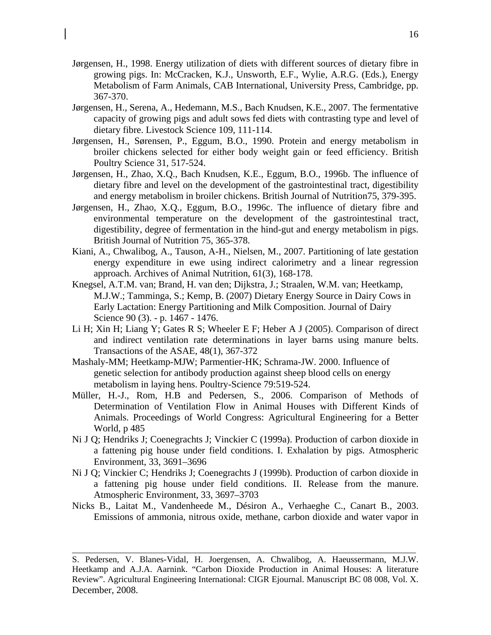- Jørgensen, H., 1998. Energy utilization of diets with different sources of dietary fibre in growing pigs. In: McCracken, K.J., Unsworth, E.F., Wylie, A.R.G. (Eds.), Energy Metabolism of Farm Animals, CAB International, University Press, Cambridge, pp. 367-370.
- Jørgensen, H., Serena, A., Hedemann, M.S., Bach Knudsen, K.E., 2007. The fermentative capacity of growing pigs and adult sows fed diets with contrasting type and level of dietary fibre. Livestock Science 109, 111-114.
- Jørgensen, H., Sørensen, P., Eggum, B.O., 1990. Protein and energy metabolism in broiler chickens selected for either body weight gain or feed efficiency. British Poultry Science 31, 517-524.
- Jørgensen, H., Zhao, X.Q., Bach Knudsen, K.E., Eggum, B.O., 1996b. The influence of dietary fibre and level on the development of the gastrointestinal tract, digestibility and energy metabolism in broiler chickens. British Journal of Nutrition75, 379-395.
- Jørgensen, H., Zhao, X.Q., Eggum, B.O., 1996c. The influence of dietary fibre and environmental temperature on the development of the gastrointestinal tract, digestibility, degree of fermentation in the hind-gut and energy metabolism in pigs. British Journal of Nutrition 75, 365-378.
- Kiani, A., Chwalibog, A., Tauson, A-H., Nielsen, M., 2007. Partitioning of late gestation energy expenditure in ewe using indirect calorimetry and a linear regression approach. Archives of Animal Nutrition, 61(3), 168-178.
- Knegsel, A.T.M. van; Brand, H. van den; Dijkstra, J.; Straalen, W.M. van; Heetkamp, M.J.W.; Tamminga, S.; Kemp, B. (2007) Dietary Energy Source in Dairy Cows in Early Lactation: Energy Partitioning and Milk Composition. Journal of Dairy Science 90 (3). - p. 1467 - 1476.
- Li H; Xin H; Liang Y; Gates R S; Wheeler E F; Heber A J (2005). Comparison of direct and indirect ventilation rate determinations in layer barns using manure belts. Transactions of the ASAE, 48(1), 367-372
- Mashaly-MM; Heetkamp-MJW; Parmentier-HK; Schrama-JW. 2000. Influence of genetic selection for antibody production against sheep blood cells on energy metabolism in laying hens. Poultry-Science 79:519-524.
- Müller, H.-J., Rom, H.B and Pedersen, S., 2006. Comparison of Methods of Determination of Ventilation Flow in Animal Houses with Different Kinds of Animals. Proceedings of World Congress: Agricultural Engineering for a Better World, p 485
- Ni J Q; Hendriks J; Coenegrachts J; Vinckier C (1999a). Production of carbon dioxide in a fattening pig house under field conditions. I. Exhalation by pigs. Atmospheric Environment, 33, 3691–3696
- Ni J Q; Vinckier C; Hendriks J; Coenegrachts J (1999b). Production of carbon dioxide in a fattening pig house under field conditions. II. Release from the manure. Atmospheric Environment, 33, 3697–3703
- Nicks B., Laitat M., Vandenheede M., Désiron A., Verhaeghe C., Canart B., 2003. Emissions of ammonia, nitrous oxide, methane, carbon dioxide and water vapor in

S. Pedersen, V. Blanes-Vidal, H. Joergensen, A. Chwalibog, A. Haeussermann, M.J.W. Heetkamp and A.J.A. Aarnink. "Carbon Dioxide Production in Animal Houses: A literature Review". Agricultural Engineering International: CIGR Ejournal. Manuscript BC 08 008, Vol. X. December, 2008.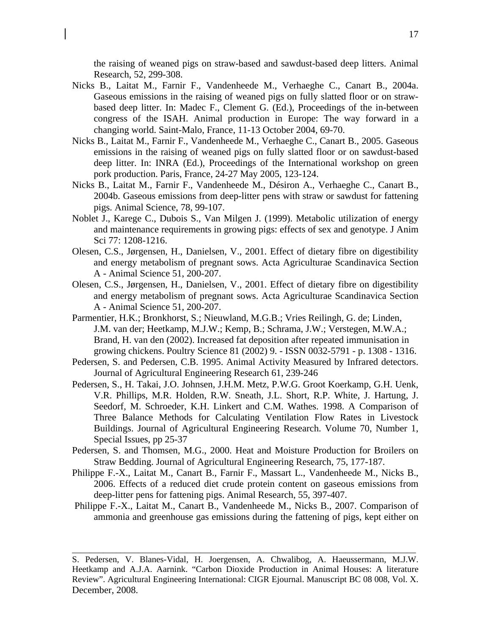the raising of weaned pigs on straw-based and sawdust-based deep litters. Animal Research, 52, 299-308.

- Nicks B., Laitat M., Farnir F., Vandenheede M., Verhaeghe C., Canart B., 2004a. Gaseous emissions in the raising of weaned pigs on fully slatted floor or on strawbased deep litter. In: Madec F., Clement G. (Ed.), Proceedings of the in-between congress of the ISAH. Animal production in Europe: The way forward in a changing world. Saint-Malo, France, 11-13 October 2004, 69-70.
- Nicks B., Laitat M., Farnir F., Vandenheede M., Verhaeghe C., Canart B., 2005. Gaseous emissions in the raising of weaned pigs on fully slatted floor or on sawdust-based deep litter. In: INRA (Ed.), Proceedings of the International workshop on green pork production. Paris, France, 24-27 May 2005, 123-124.
- Nicks B., Laitat M., Farnir F., Vandenheede M., Désiron A., Verhaeghe C., Canart B., 2004b. Gaseous emissions from deep-litter pens with straw or sawdust for fattening pigs. Animal Science, 78, 99-107.
- Noblet J., Karege C., Dubois S., Van Milgen J. (1999). Metabolic utilization of energy and maintenance requirements in growing pigs: effects of sex and genotype. J Anim Sci 77: 1208-1216.
- Olesen, C.S., Jørgensen, H., Danielsen, V., 2001. Effect of dietary fibre on digestibility and energy metabolism of pregnant sows. Acta Agriculturae Scandinavica Section A - Animal Science 51, 200-207.
- Olesen, C.S., Jørgensen, H., Danielsen, V., 2001. Effect of dietary fibre on digestibility and energy metabolism of pregnant sows. Acta Agriculturae Scandinavica Section A - Animal Science 51, 200-207.
- Parmentier, H.K.; Bronkhorst, S.; Nieuwland, M.G.B.; Vries Reilingh, G. de; Linden, J.M. van der; Heetkamp, M.J.W.; Kemp, B.; Schrama, J.W.; Verstegen, M.W.A.; Brand, H. van den (2002). Increased fat deposition after repeated immunisation in growing chickens. Poultry Science 81 (2002) 9. - ISSN 0032-5791 - p. 1308 - 1316.
- Pedersen, S. and Pedersen, C.B. 1995. Animal Activity Measured by Infrared detectors. Journal of Agricultural Engineering Research 61, 239-246
- Pedersen, S., H. Takai, J.O. Johnsen, J.H.M. Metz, P.W.G. Groot Koerkamp, G.H. Uenk, V.R. Phillips, M.R. Holden, R.W. Sneath, J.L. Short, R.P. White, J. Hartung, J. Seedorf, M. Schroeder, K.H. Linkert and C.M. Wathes. 1998. A Comparison of Three Balance Methods for Calculating Ventilation Flow Rates in Livestock Buildings. Journal of Agricultural Engineering Research. Volume 70, Number 1, Special Issues, pp 25-37
- Pedersen, S. and Thomsen, M.G., 2000. Heat and Moisture Production for Broilers on Straw Bedding. Journal of Agricultural Engineering Research, 75, 177-187.
- Philippe F.-X., Laitat M., Canart B., Farnir F., Massart L., Vandenheede M., Nicks B., 2006. Effects of a reduced diet crude protein content on gaseous emissions from deep-litter pens for fattening pigs. Animal Research, 55, 397-407.
- Philippe F.-X., Laitat M., Canart B., Vandenheede M., Nicks B., 2007. Comparison of ammonia and greenhouse gas emissions during the fattening of pigs, kept either on

S. Pedersen, V. Blanes-Vidal, H. Joergensen, A. Chwalibog, A. Haeussermann, M.J.W. Heetkamp and A.J.A. Aarnink. "Carbon Dioxide Production in Animal Houses: A literature Review". Agricultural Engineering International: CIGR Ejournal. Manuscript BC 08 008, Vol. X. December, 2008.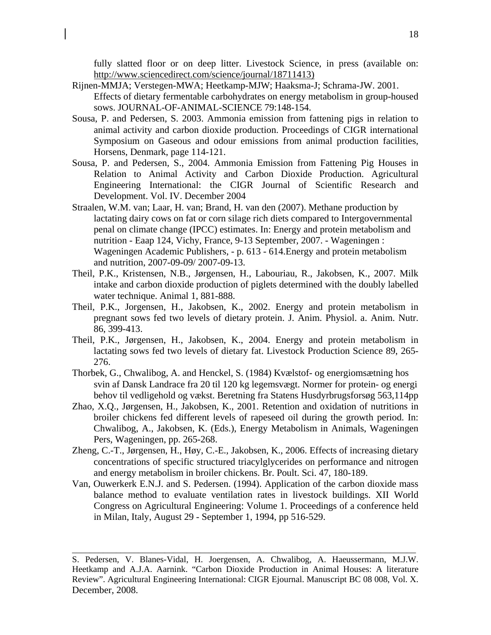fully slatted floor or on deep litter. Livestock Science, in press (available on: http://www.sciencedirect.com/science/journal/18711413)

- Rijnen-MMJA; Verstegen-MWA; Heetkamp-MJW; Haaksma-J; Schrama-JW. 2001. Effects of dietary fermentable carbohydrates on energy metabolism in group-housed sows. JOURNAL-OF-ANIMAL-SCIENCE 79:148-154.
- Sousa, P. and Pedersen, S. 2003. Ammonia emission from fattening pigs in relation to animal activity and carbon dioxide production. Proceedings of CIGR international Symposium on Gaseous and odour emissions from animal production facilities, Horsens, Denmark, page 114-121.
- Sousa, P. and Pedersen, S., 2004. Ammonia Emission from Fattening Pig Houses in Relation to Animal Activity and Carbon Dioxide Production. Agricultural Engineering International: the CIGR Journal of Scientific Research and Development. Vol. IV. December 2004
- Straalen, W.M. van; Laar, H. van; Brand, H. van den (2007). Methane production by lactating dairy cows on fat or corn silage rich diets compared to Intergovernmental penal on climate change (IPCC) estimates. In: Energy and protein metabolism and nutrition - Eaap 124, Vichy, France, 9-13 September, 2007. - Wageningen : Wageningen Academic Publishers, - p. 613 - 614.Energy and protein metabolism and nutrition, 2007-09-09/ 2007-09-13.
- Theil, P.K., Kristensen, N.B., Jørgensen, H., Labouriau, R., Jakobsen, K., 2007. Milk intake and carbon dioxide production of piglets determined with the doubly labelled water technique. Animal 1, 881-888.
- Theil, P.K., Jorgensen, H., Jakobsen, K., 2002. Energy and protein metabolism in pregnant sows fed two levels of dietary protein. J. Anim. Physiol. a. Anim. Nutr. 86, 399-413.
- Theil, P.K., Jørgensen, H., Jakobsen, K., 2004. Energy and protein metabolism in lactating sows fed two levels of dietary fat. Livestock Production Science 89, 265- 276.
- Thorbek, G., Chwalibog, A. and Henckel, S. (1984) Kvælstof- og energiomsætning hos svin af Dansk Landrace fra 20 til 120 kg legemsvægt. Normer for protein- og energi behov til vedligehold og vækst. Beretning fra Statens Husdyrbrugsforsøg 563,114pp
- Zhao, X.Q., Jørgensen, H., Jakobsen, K., 2001. Retention and oxidation of nutritions in broiler chickens fed different levels of rapeseed oil during the growth period. In: Chwalibog, A., Jakobsen, K. (Eds.), Energy Metabolism in Animals, Wageningen Pers, Wageningen, pp. 265-268.
- Zheng, C.-T., Jørgensen, H., Høy, C.-E., Jakobsen, K., 2006. Effects of increasing dietary concentrations of specific structured triacylglycerides on performance and nitrogen and energy metabolism in broiler chickens. Br. Poult. Sci. 47, 180-189.
- Van, Ouwerkerk E.N.J. and S. Pedersen. (1994). Application of the carbon dioxide mass balance method to evaluate ventilation rates in livestock buildings. XII World Congress on Agricultural Engineering: Volume 1. Proceedings of a conference held in Milan, Italy, August 29 - September 1, 1994, pp 516-529.

S. Pedersen, V. Blanes-Vidal, H. Joergensen, A. Chwalibog, A. Haeussermann, M.J.W. Heetkamp and A.J.A. Aarnink. "Carbon Dioxide Production in Animal Houses: A literature Review". Agricultural Engineering International: CIGR Ejournal. Manuscript BC 08 008, Vol. X. December, 2008.